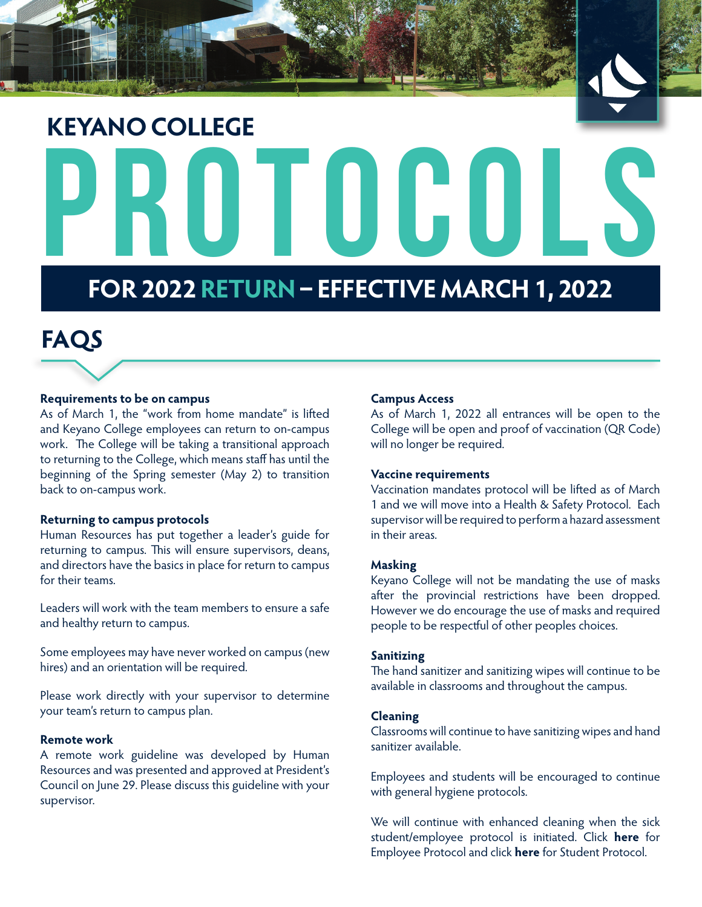



# PROTOCOLS **KEYANO COLLEGE**

# **FOR 2022 RETURN – EFFECTIVE MARCH 1, 2022**

# **FAQS**

# **Requirements to be on campus**

As of March 1, the "work from home mandate" is lifted and Keyano College employees can return to on-campus work. The College will be taking a transitional approach to returning to the College, which means staff has until the beginning of the Spring semester (May 2) to transition back to on-campus work.

#### **Returning to campus protocols**

Human Resources has put together a leader's guide for returning to campus. This will ensure supervisors, deans, and directors have the basics in place for return to campus for their teams.

Leaders will work with the team members to ensure a safe and healthy return to campus.

Some employees may have never worked on campus (new hires) and an orientation will be required.

Please work directly with your supervisor to determine your team's return to campus plan.

# **Remote work**

A remote work guideline was developed by Human Resources and was presented and approved at President's Council on June 29. Please discuss this guideline with your supervisor.

#### **Campus Access**

As of March 1, 2022 all entrances will be open to the College will be open and proof of vaccination (QR Code) will no longer be required.

#### **Vaccine requirements**

Vaccination mandates protocol will be lifted as of March 1 and we will move into a Health & Safety Protocol. Each supervisor will be required to perform a hazard assessment in their areas.

#### **Masking**

Keyano College will not be mandating the use of masks after the provincial restrictions have been dropped. However we do encourage the use of masks and required people to be respectful of other peoples choices.

#### **Sanitizing**

The hand sanitizer and sanitizing wipes will continue to be available in classrooms and throughout the campus.

#### **Cleaning**

Classrooms will continue to have sanitizing wipes and hand sanitizer available.

Employees and students will be encouraged to continue with general hygiene protocols.

We will continue with enhanced cleaning when the sick student/employee protocol is initiated. Click **[here](https://connect.keyano.ca/marketingcommunication/SiteAssets/SitePages/Home/Procedure%20for%20sick%20employees.pdf#search=sick%20employee)** for Employee Protocol and click **[here](https://connect.keyano.ca/marketingcommunication/SiteAssets/SitePages/Home/Procedure%20for%20sick%20students.pdf#search=sick%20%20student)** for Student Protocol.